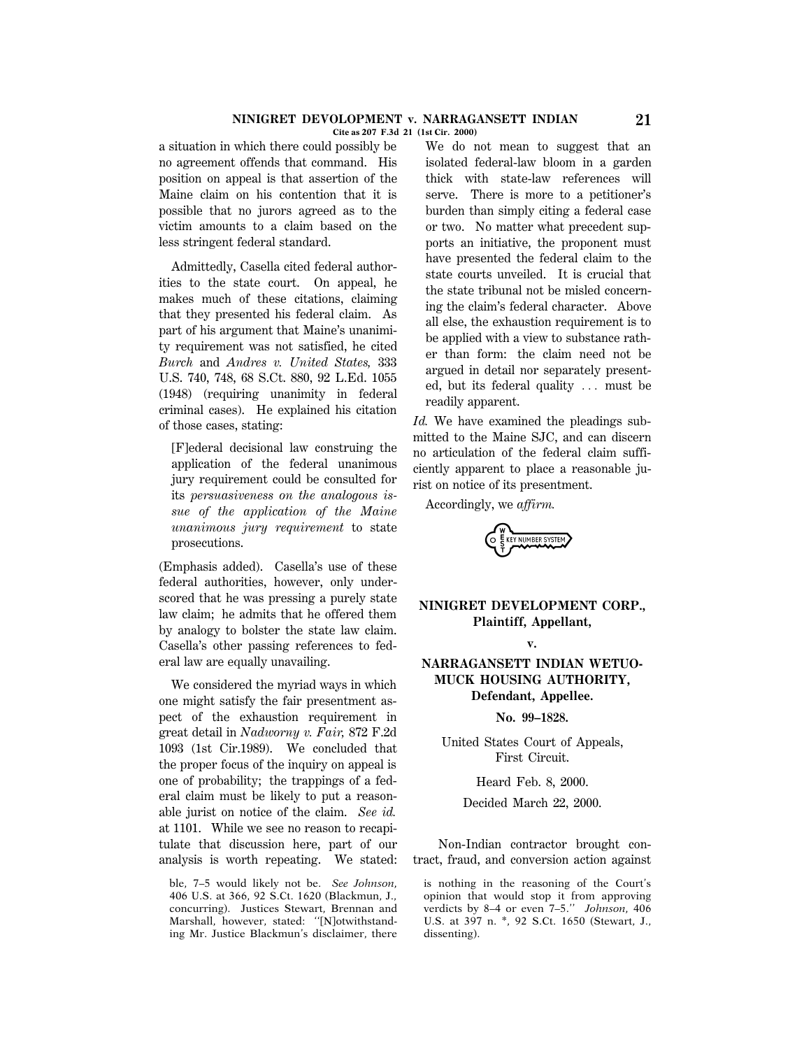#### **NINIGRET DEVOLOPMENT v. NARRAGANSETT INDIAN 21 Cite as 207 F.3d 21 (1st Cir. 2000)**

a situation in which there could possibly be no agreement offends that command. His position on appeal is that assertion of the Maine claim on his contention that it is possible that no jurors agreed as to the victim amounts to a claim based on the less stringent federal standard.

Admittedly, Casella cited federal authorities to the state court. On appeal, he makes much of these citations, claiming that they presented his federal claim. As part of his argument that Maine's unanimity requirement was not satisfied, he cited *Burch* and *Andres v. United States,* 333 U.S. 740, 748, 68 S.Ct. 880, 92 L.Ed. 1055 (1948) (requiring unanimity in federal criminal cases). He explained his citation of those cases, stating:

[F]ederal decisional law construing the application of the federal unanimous jury requirement could be consulted for its *persuasiveness on the analogous issue of the application of the Maine unanimous jury requirement* to state prosecutions.

(Emphasis added). Casella's use of these federal authorities, however, only underscored that he was pressing a purely state law claim; he admits that he offered them by analogy to bolster the state law claim. Casella's other passing references to federal law are equally unavailing.

We considered the myriad ways in which one might satisfy the fair presentment aspect of the exhaustion requirement in great detail in *Nadworny v. Fair,* 872 F.2d 1093 (1st Cir.1989). We concluded that the proper focus of the inquiry on appeal is one of probability; the trappings of a federal claim must be likely to put a reasonable jurist on notice of the claim. *See id.* at 1101. While we see no reason to recapitulate that discussion here, part of our analysis is worth repeating. We stated:

ble, 7–5 would likely not be. *See Johnson,* 406 U.S. at 366, 92 S.Ct. 1620 (Blackmun, J., concurring). Justices Stewart, Brennan and Marshall, however, stated: ''[N]otwithstanding Mr. Justice Blackmun's disclaimer, there

We do not mean to suggest that an isolated federal-law bloom in a garden thick with state-law references will serve. There is more to a petitioner's burden than simply citing a federal case or two. No matter what precedent supports an initiative, the proponent must have presented the federal claim to the state courts unveiled. It is crucial that the state tribunal not be misled concerning the claim's federal character. Above all else, the exhaustion requirement is to be applied with a view to substance rather than form: the claim need not be argued in detail nor separately presented, but its federal quality  $\ldots$  must be readily apparent.

*Id.* We have examined the pleadings submitted to the Maine SJC, and can discern no articulation of the federal claim sufficiently apparent to place a reasonable jurist on notice of its presentment.

Accordingly, we *affirm.*

EY NUMBER SYSTE

# **NINIGRET DEVELOPMENT CORP., Plaintiff, Appellant,**

**v.**

**NARRAGANSETT INDIAN WETUO-MUCK HOUSING AUTHORITY, Defendant, Appellee.**

**No. 99–1828.**

United States Court of Appeals, First Circuit.

Heard Feb. 8, 2000.

Decided March 22, 2000.

Non-Indian contractor brought contract, fraud, and conversion action against

is nothing in the reasoning of the Court's opinion that would stop it from approving verdicts by 8–4 or even 7–5.'' *Johnson,* 406 U.S. at 397 n. \*, 92 S.Ct. 1650 (Stewart, J., dissenting).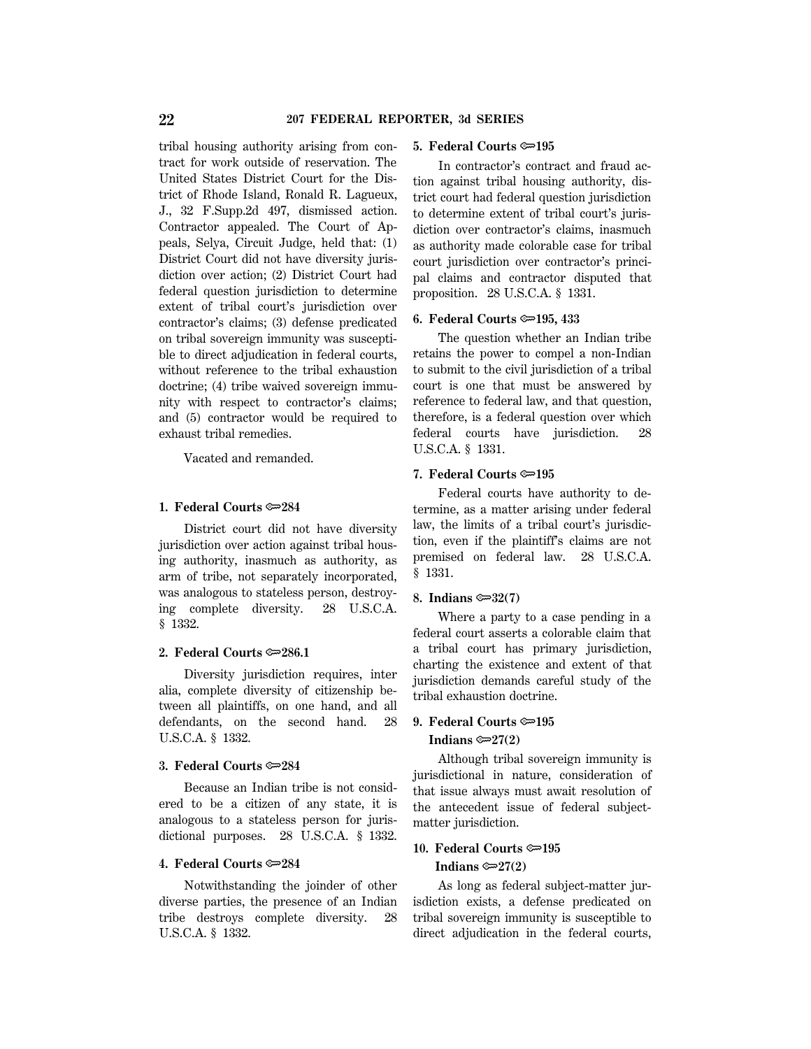tribal housing authority arising from contract for work outside of reservation. The United States District Court for the District of Rhode Island, Ronald R. Lagueux, J., 32 F.Supp.2d 497, dismissed action. Contractor appealed. The Court of Appeals, Selya, Circuit Judge, held that: (1) District Court did not have diversity jurisdiction over action; (2) District Court had federal question jurisdiction to determine extent of tribal court's jurisdiction over contractor's claims; (3) defense predicated on tribal sovereign immunity was susceptible to direct adjudication in federal courts, without reference to the tribal exhaustion doctrine; (4) tribe waived sovereign immunity with respect to contractor's claims; and (5) contractor would be required to exhaust tribal remedies.

Vacated and remanded.

#### **1. Federal Courts**  $\approx 284$

District court did not have diversity jurisdiction over action against tribal housing authority, inasmuch as authority, as arm of tribe, not separately incorporated, was analogous to stateless person, destroying complete diversity. 28 U.S.C.A. § 1332.

#### **2. Federal Courts**  $\approx 286.1$

Diversity jurisdiction requires, inter alia, complete diversity of citizenship between all plaintiffs, on one hand, and all defendants, on the second hand. 28 U.S.C.A. § 1332.

# **3. Federal Courts**  $\approx 284$

Because an Indian tribe is not considered to be a citizen of any state, it is analogous to a stateless person for jurisdictional purposes. 28 U.S.C.A. § 1332.

#### **4. Federal Courts** O**284**

Notwithstanding the joinder of other diverse parties, the presence of an Indian tribe destroys complete diversity. 28 U.S.C.A. § 1332.

#### **5. Federal Courts** O**195**

In contractor's contract and fraud action against tribal housing authority, district court had federal question jurisdiction to determine extent of tribal court's jurisdiction over contractor's claims, inasmuch as authority made colorable case for tribal court jurisdiction over contractor's principal claims and contractor disputed that proposition. 28 U.S.C.A. § 1331.

#### **6. Federal Courts**  $\approx 195, 433$

The question whether an Indian tribe retains the power to compel a non-Indian to submit to the civil jurisdiction of a tribal court is one that must be answered by reference to federal law, and that question, therefore, is a federal question over which federal courts have jurisdiction. 28 U.S.C.A. § 1331.

#### **7. Federal Courts**  $\approx 195$

Federal courts have authority to determine, as a matter arising under federal law, the limits of a tribal court's jurisdiction, even if the plaintiff's claims are not premised on federal law. 28 U.S.C.A. § 1331.

## **8. Indians**  $\approx 32(7)$

Where a party to a case pending in a federal court asserts a colorable claim that a tribal court has primary jurisdiction, charting the existence and extent of that jurisdiction demands careful study of the tribal exhaustion doctrine.

# **9. Federal Courts**  $\approx 195$

#### Indians  $\approx 27(2)$

Although tribal sovereign immunity is jurisdictional in nature, consideration of that issue always must await resolution of the antecedent issue of federal subjectmatter jurisdiction.

# **10. Federal Courts ©**195 **Indians**  $\approx 27(2)$

As long as federal subject-matter jurisdiction exists, a defense predicated on tribal sovereign immunity is susceptible to direct adjudication in the federal courts,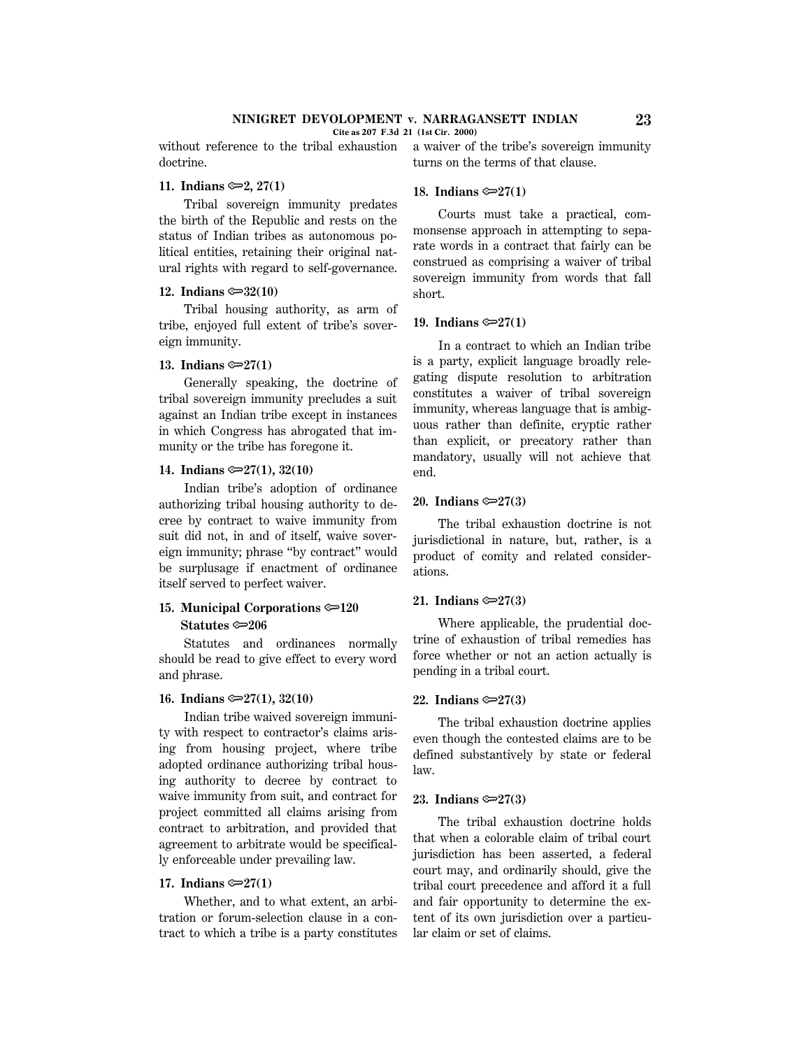**Cite as 207 F.3d 21 (1st Cir. 2000)**

without reference to the tribal exhaustion doctrine.

## **11. Indians ©**2, 27(1)

Tribal sovereign immunity predates the birth of the Republic and rests on the status of Indian tribes as autonomous political entities, retaining their original natural rights with regard to self-governance.

## 12. Indians  $\approx 32(10)$

Tribal housing authority, as arm of tribe, enjoyed full extent of tribe's sovereign immunity.

## **13. Indians ©** $27(1)$

Generally speaking, the doctrine of tribal sovereign immunity precludes a suit against an Indian tribe except in instances in which Congress has abrogated that immunity or the tribe has foregone it.

## **14.** Indians  $\mathcal{D}27(1)$ , 32(10)

Indian tribe's adoption of ordinance authorizing tribal housing authority to decree by contract to waive immunity from suit did not, in and of itself, waive sovereign immunity; phrase ''by contract'' would be surplusage if enactment of ordinance itself served to perfect waiver.

# **15. Municipal Corporations**  $\approx 120$ **Statutes ©** $\approx$ 206

Statutes and ordinances normally should be read to give effect to every word and phrase.

#### **16. Indians**  $\mathcal{D}27(1)$ **, 32(10)**

Indian tribe waived sovereign immunity with respect to contractor's claims arising from housing project, where tribe adopted ordinance authorizing tribal housing authority to decree by contract to waive immunity from suit, and contract for project committed all claims arising from contract to arbitration, and provided that agreement to arbitrate would be specifically enforceable under prevailing law.

## **17. Indians**  $\approx 27(1)$

Whether, and to what extent, an arbitration or forum-selection clause in a contract to which a tribe is a party constitutes a waiver of the tribe's sovereign immunity turns on the terms of that clause.

#### **18. Indians**  $\approx 27(1)$

Courts must take a practical, commonsense approach in attempting to separate words in a contract that fairly can be construed as comprising a waiver of tribal sovereign immunity from words that fall short.

## 19. Indians  $\approx 27(1)$

In a contract to which an Indian tribe is a party, explicit language broadly relegating dispute resolution to arbitration constitutes a waiver of tribal sovereign immunity, whereas language that is ambiguous rather than definite, cryptic rather than explicit, or precatory rather than mandatory, usually will not achieve that end.

## **20. Indians** O**27(3)**

The tribal exhaustion doctrine is not jurisdictional in nature, but, rather, is a product of comity and related considerations.

#### **21.** Indians  $\approx 27(3)$

Where applicable, the prudential doctrine of exhaustion of tribal remedies has force whether or not an action actually is pending in a tribal court.

#### **22.** Indians  $\approx 27(3)$

The tribal exhaustion doctrine applies even though the contested claims are to be defined substantively by state or federal law.

## **23.** Indians  $\textcircled{=}27(3)$

The tribal exhaustion doctrine holds that when a colorable claim of tribal court jurisdiction has been asserted, a federal court may, and ordinarily should, give the tribal court precedence and afford it a full and fair opportunity to determine the extent of its own jurisdiction over a particular claim or set of claims.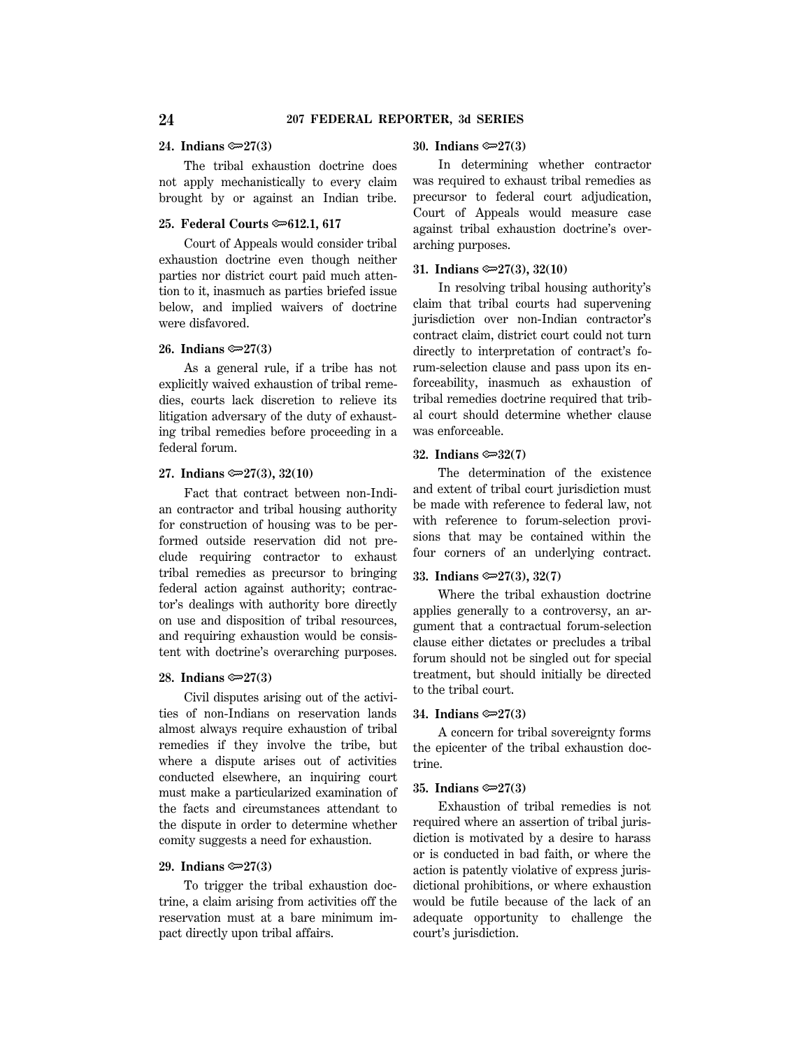#### **24. Indians** O**27(3)**

The tribal exhaustion doctrine does not apply mechanistically to every claim brought by or against an Indian tribe.

#### **25. Federal Courts**  $\approx 612.1, 617$

Court of Appeals would consider tribal exhaustion doctrine even though neither parties nor district court paid much attention to it, inasmuch as parties briefed issue below, and implied waivers of doctrine were disfavored.

#### **26. Indians** O**27(3)**

As a general rule, if a tribe has not explicitly waived exhaustion of tribal remedies, courts lack discretion to relieve its litigation adversary of the duty of exhausting tribal remedies before proceeding in a federal forum.

## **27. Indians** O**27(3), 32(10)**

Fact that contract between non-Indian contractor and tribal housing authority for construction of housing was to be performed outside reservation did not preclude requiring contractor to exhaust tribal remedies as precursor to bringing federal action against authority; contractor's dealings with authority bore directly on use and disposition of tribal resources, and requiring exhaustion would be consistent with doctrine's overarching purposes.

#### **28. Indians** O**27(3)**

Civil disputes arising out of the activities of non-Indians on reservation lands almost always require exhaustion of tribal remedies if they involve the tribe, but where a dispute arises out of activities conducted elsewhere, an inquiring court must make a particularized examination of the facts and circumstances attendant to the dispute in order to determine whether comity suggests a need for exhaustion.

#### **29. Indians** O**27(3)**

To trigger the tribal exhaustion doctrine, a claim arising from activities off the reservation must at a bare minimum impact directly upon tribal affairs.

## **30. Indians** O**27(3)**

In determining whether contractor was required to exhaust tribal remedies as precursor to federal court adjudication, Court of Appeals would measure case against tribal exhaustion doctrine's overarching purposes.

#### **31. Indians** O**27(3), 32(10)**

In resolving tribal housing authority's claim that tribal courts had supervening jurisdiction over non-Indian contractor's contract claim, district court could not turn directly to interpretation of contract's forum-selection clause and pass upon its enforceability, inasmuch as exhaustion of tribal remedies doctrine required that tribal court should determine whether clause was enforceable.

## **32. Indians** O**32(7)**

The determination of the existence and extent of tribal court jurisdiction must be made with reference to federal law, not with reference to forum-selection provisions that may be contained within the four corners of an underlying contract.

#### **33. Indians** O**27(3), 32(7)**

Where the tribal exhaustion doctrine applies generally to a controversy, an argument that a contractual forum-selection clause either dictates or precludes a tribal forum should not be singled out for special treatment, but should initially be directed to the tribal court.

## **34. Indians** O**27(3)**

A concern for tribal sovereignty forms the epicenter of the tribal exhaustion doctrine.

#### **35. Indians** O**27(3)**

Exhaustion of tribal remedies is not required where an assertion of tribal jurisdiction is motivated by a desire to harass or is conducted in bad faith, or where the action is patently violative of express jurisdictional prohibitions, or where exhaustion would be futile because of the lack of an adequate opportunity to challenge the court's jurisdiction.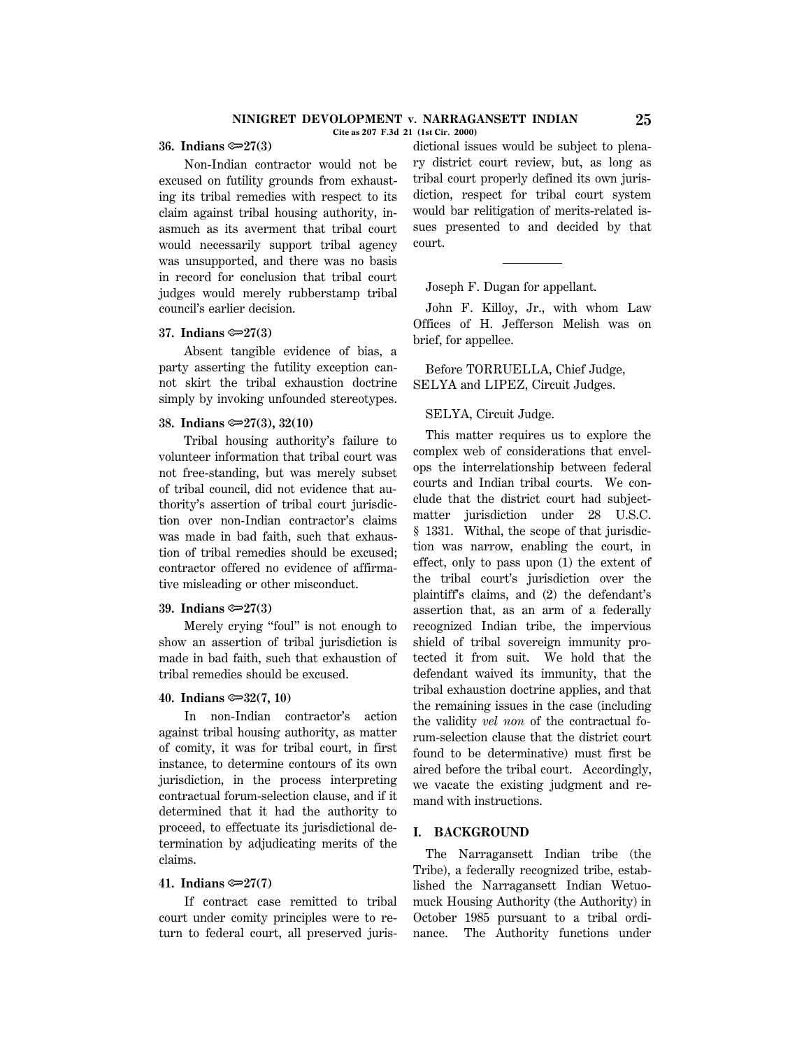## **NINIGRET DEVOLOPMENT v. NARRAGANSETT INDIAN 25**

**Cite as 207 F.3d 21 (1st Cir. 2000)**

#### **36. Indians** O**27(3)**

Non-Indian contractor would not be excused on futility grounds from exhausting its tribal remedies with respect to its claim against tribal housing authority, inasmuch as its averment that tribal court would necessarily support tribal agency was unsupported, and there was no basis in record for conclusion that tribal court judges would merely rubberstamp tribal council's earlier decision.

## **37.** Indians  $\approx 27(3)$

Absent tangible evidence of bias, a party asserting the futility exception cannot skirt the tribal exhaustion doctrine simply by invoking unfounded stereotypes.

#### **38. Indians** O**27(3), 32(10)**

Tribal housing authority's failure to volunteer information that tribal court was not free-standing, but was merely subset of tribal council, did not evidence that authority's assertion of tribal court jurisdiction over non-Indian contractor's claims was made in bad faith, such that exhaustion of tribal remedies should be excused; contractor offered no evidence of affirmative misleading or other misconduct.

## **39. Indians** O**27(3)**

Merely crying ''foul'' is not enough to show an assertion of tribal jurisdiction is made in bad faith, such that exhaustion of tribal remedies should be excused.

#### **40. Indians**  $\mathcal{F}32(7, 10)$

In non-Indian contractor's action against tribal housing authority, as matter of comity, it was for tribal court, in first instance, to determine contours of its own jurisdiction, in the process interpreting contractual forum-selection clause, and if it determined that it had the authority to proceed, to effectuate its jurisdictional determination by adjudicating merits of the claims.

#### **41. Indians** O**27(7)**

If contract case remitted to tribal court under comity principles were to return to federal court, all preserved juris-

dictional issues would be subject to plenary district court review, but, as long as tribal court properly defined its own jurisdiction, respect for tribal court system would bar relitigation of merits-related issues presented to and decided by that court.

Joseph F. Dugan for appellant.

John F. Killoy, Jr., with whom Law Offices of H. Jefferson Melish was on brief, for appellee.

Before TORRUELLA, Chief Judge, SELYA and LIPEZ, Circuit Judges.

#### SELYA, Circuit Judge.

This matter requires us to explore the complex web of considerations that envelops the interrelationship between federal courts and Indian tribal courts. We conclude that the district court had subjectmatter jurisdiction under 28 U.S.C. § 1331. Withal, the scope of that jurisdiction was narrow, enabling the court, in effect, only to pass upon (1) the extent of the tribal court's jurisdiction over the plaintiff's claims, and (2) the defendant's assertion that, as an arm of a federally recognized Indian tribe, the impervious shield of tribal sovereign immunity protected it from suit. We hold that the defendant waived its immunity, that the tribal exhaustion doctrine applies, and that the remaining issues in the case (including the validity *vel non* of the contractual forum-selection clause that the district court found to be determinative) must first be aired before the tribal court. Accordingly, we vacate the existing judgment and remand with instructions.

#### **I. BACKGROUND**

The Narragansett Indian tribe (the Tribe), a federally recognized tribe, established the Narragansett Indian Wetuomuck Housing Authority (the Authority) in October 1985 pursuant to a tribal ordinance. The Authority functions under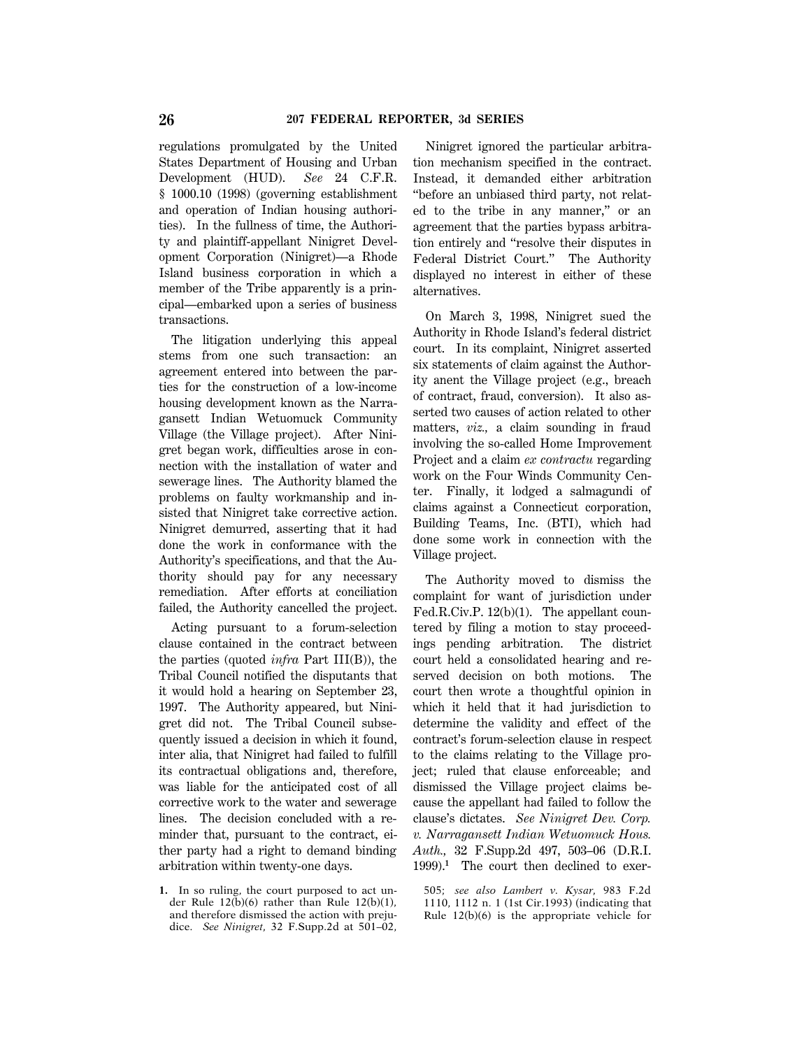regulations promulgated by the United States Department of Housing and Urban Development (HUD). *See* 24 C.F.R. § 1000.10 (1998) (governing establishment and operation of Indian housing authorities). In the fullness of time, the Authority and plaintiff-appellant Ninigret Development Corporation (Ninigret)—a Rhode Island business corporation in which a member of the Tribe apparently is a principal—embarked upon a series of business transactions.

The litigation underlying this appeal stems from one such transaction: an agreement entered into between the parties for the construction of a low-income housing development known as the Narragansett Indian Wetuomuck Community Village (the Village project). After Ninigret began work, difficulties arose in connection with the installation of water and sewerage lines. The Authority blamed the problems on faulty workmanship and insisted that Ninigret take corrective action. Ninigret demurred, asserting that it had done the work in conformance with the Authority's specifications, and that the Authority should pay for any necessary remediation. After efforts at conciliation failed, the Authority cancelled the project.

Acting pursuant to a forum-selection clause contained in the contract between the parties (quoted *infra* Part III(B)), the Tribal Council notified the disputants that it would hold a hearing on September 23, 1997. The Authority appeared, but Ninigret did not. The Tribal Council subsequently issued a decision in which it found, inter alia, that Ninigret had failed to fulfill its contractual obligations and, therefore, was liable for the anticipated cost of all corrective work to the water and sewerage lines. The decision concluded with a reminder that, pursuant to the contract, either party had a right to demand binding arbitration within twenty-one days.

**1.** In so ruling, the court purposed to act under Rule 12(b)(6) rather than Rule 12(b)(1), and therefore dismissed the action with prejudice. *See Ninigret,* 32 F.Supp.2d at 501–02,

Ninigret ignored the particular arbitration mechanism specified in the contract. Instead, it demanded either arbitration ''before an unbiased third party, not related to the tribe in any manner,'' or an agreement that the parties bypass arbitration entirely and ''resolve their disputes in Federal District Court.'' The Authority displayed no interest in either of these alternatives.

On March 3, 1998, Ninigret sued the Authority in Rhode Island's federal district court. In its complaint, Ninigret asserted six statements of claim against the Authority anent the Village project (e.g., breach of contract, fraud, conversion). It also asserted two causes of action related to other matters, *viz.,* a claim sounding in fraud involving the so-called Home Improvement Project and a claim *ex contractu* regarding work on the Four Winds Community Center. Finally, it lodged a salmagundi of claims against a Connecticut corporation, Building Teams, Inc. (BTI), which had done some work in connection with the Village project.

The Authority moved to dismiss the complaint for want of jurisdiction under Fed.R.Civ.P. 12(b)(1). The appellant countered by filing a motion to stay proceedings pending arbitration. The district court held a consolidated hearing and reserved decision on both motions. The court then wrote a thoughtful opinion in which it held that it had jurisdiction to determine the validity and effect of the contract's forum-selection clause in respect to the claims relating to the Village project; ruled that clause enforceable; and dismissed the Village project claims because the appellant had failed to follow the clause's dictates. *See Ninigret Dev. Corp. v. Narragansett Indian Wetuomuck Hous. Auth.,* 32 F.Supp.2d 497, 503–06 (D.R.I. 1999).**<sup>1</sup>** The court then declined to exer-

505; *see also Lambert v. Kysar,* 983 F.2d 1110, 1112 n. 1 (1st Cir.1993) (indicating that Rule 12(b)(6) is the appropriate vehicle for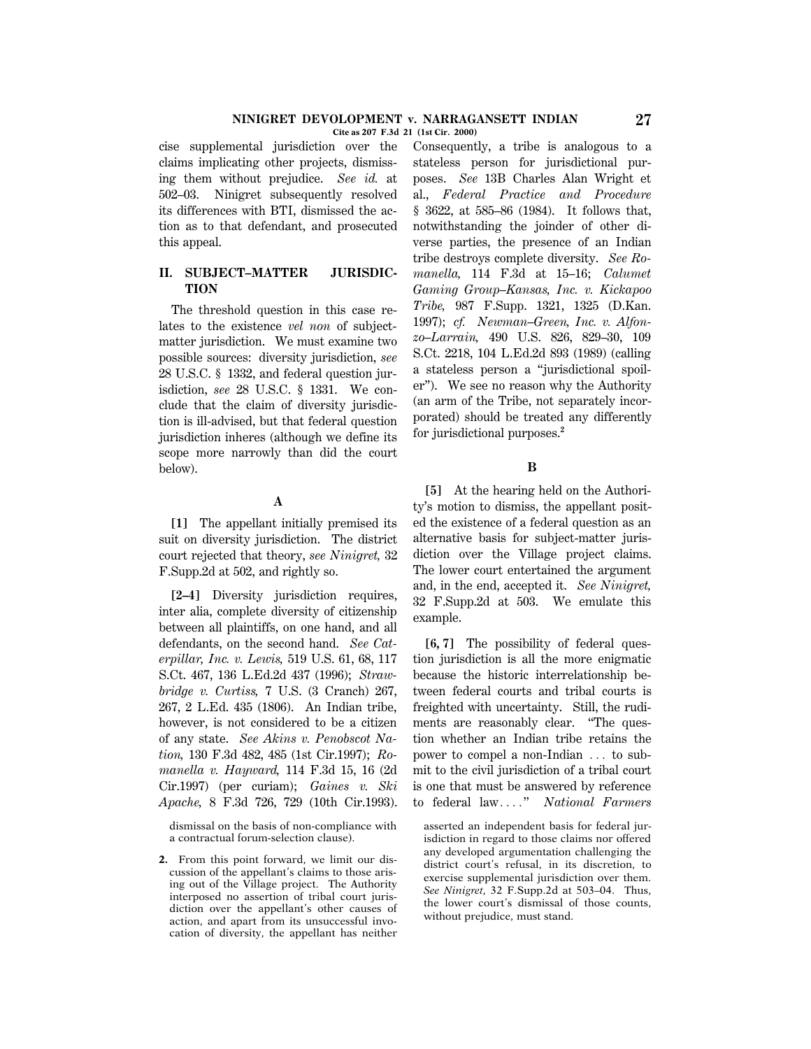cise supplemental jurisdiction over the claims implicating other projects, dismissing them without prejudice. *See id.* at 502–03. Ninigret subsequently resolved its differences with BTI, dismissed the action as to that defendant, and prosecuted this appeal.

## **II. SUBJECT–MATTER JURISDIC-TION**

The threshold question in this case relates to the existence *vel non* of subjectmatter jurisdiction. We must examine two possible sources: diversity jurisdiction, *see* 28 U.S.C. § 1332, and federal question jurisdiction, *see* 28 U.S.C. § 1331. We conclude that the claim of diversity jurisdiction is ill-advised, but that federal question jurisdiction inheres (although we define its scope more narrowly than did the court below).

# **A**

**[1]** The appellant initially premised its suit on diversity jurisdiction. The district court rejected that theory, *see Ninigret,* 32 F.Supp.2d at 502, and rightly so.

**[2–4]** Diversity jurisdiction requires, inter alia, complete diversity of citizenship between all plaintiffs, on one hand, and all defendants, on the second hand. *See Caterpillar, Inc. v. Lewis,* 519 U.S. 61, 68, 117 S.Ct. 467, 136 L.Ed.2d 437 (1996); *Strawbridge v. Curtiss,* 7 U.S. (3 Cranch) 267, 267, 2 L.Ed. 435 (1806). An Indian tribe, however, is not considered to be a citizen of any state. *See Akins v. Penobscot Nation,* 130 F.3d 482, 485 (1st Cir.1997); *Romanella v. Hayward,* 114 F.3d 15, 16 (2d Cir.1997) (per curiam); *Gaines v. Ski Apache,* 8 F.3d 726, 729 (10th Cir.1993).

dismissal on the basis of non-compliance with a contractual forum-selection clause).

**2.** From this point forward, we limit our discussion of the appellant's claims to those arising out of the Village project. The Authority interposed no assertion of tribal court jurisdiction over the appellant's other causes of action, and apart from its unsuccessful invocation of diversity, the appellant has neither Consequently, a tribe is analogous to a stateless person for jurisdictional purposes. *See* 13B Charles Alan Wright et al., *Federal Practice and Procedure* § 3622, at 585–86 (1984). It follows that, notwithstanding the joinder of other diverse parties, the presence of an Indian tribe destroys complete diversity. *See Romanella,* 114 F.3d at 15–16; *Calumet Gaming Group–Kansas, Inc. v. Kickapoo Tribe,* 987 F.Supp. 1321, 1325 (D.Kan. 1997); *cf. Newman–Green, Inc. v. Alfonzo–Larrain,* 490 U.S. 826, 829–30, 109 S.Ct. 2218, 104 L.Ed.2d 893 (1989) (calling a stateless person a ''jurisdictional spoiler''). We see no reason why the Authority (an arm of the Tribe, not separately incorporated) should be treated any differently for jurisdictional purposes.**<sup>2</sup>**

## **B**

**[5]** At the hearing held on the Authority's motion to dismiss, the appellant posited the existence of a federal question as an alternative basis for subject-matter jurisdiction over the Village project claims. The lower court entertained the argument and, in the end, accepted it. *See Ninigret,* 32 F.Supp.2d at 503. We emulate this example.

**[6, 7]** The possibility of federal question jurisdiction is all the more enigmatic because the historic interrelationship between federal courts and tribal courts is freighted with uncertainty. Still, the rudiments are reasonably clear. ''The question whether an Indian tribe retains the power to compel a non-Indian  $\ldots$  to submit to the civil jurisdiction of a tribal court is one that must be answered by reference to federal law...." *National Farmers* 

asserted an independent basis for federal jurisdiction in regard to those claims nor offered any developed argumentation challenging the district court's refusal, in its discretion, to exercise supplemental jurisdiction over them. *See Ninigret,* 32 F.Supp.2d at 503–04. Thus, the lower court's dismissal of those counts, without prejudice, must stand.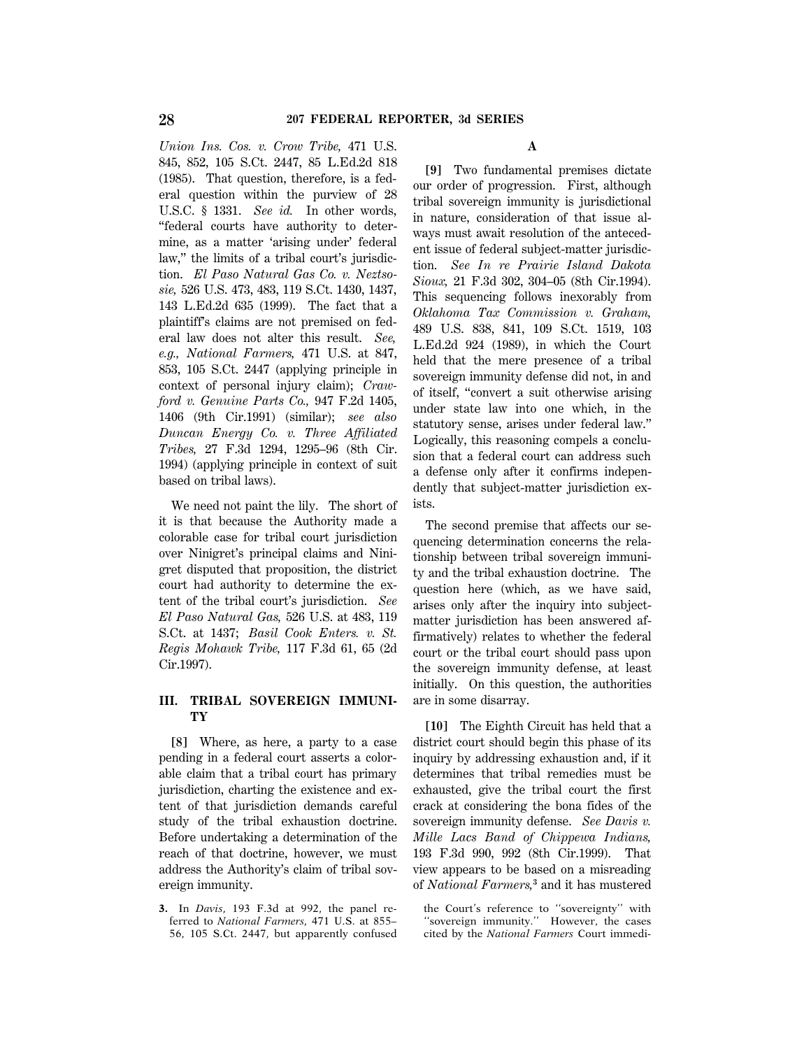*Union Ins. Cos. v. Crow Tribe,* 471 U.S. 845, 852, 105 S.Ct. 2447, 85 L.Ed.2d 818 (1985). That question, therefore, is a federal question within the purview of 28 U.S.C. § 1331. *See id.* In other words, ''federal courts have authority to determine, as a matter 'arising under' federal law,'' the limits of a tribal court's jurisdiction. *El Paso Natural Gas Co. v. Neztsosie,* 526 U.S. 473, 483, 119 S.Ct. 1430, 1437, 143 L.Ed.2d 635 (1999). The fact that a plaintiff's claims are not premised on federal law does not alter this result. *See, e.g., National Farmers,* 471 U.S. at 847, 853, 105 S.Ct. 2447 (applying principle in context of personal injury claim); *Crawford v. Genuine Parts Co.,* 947 F.2d 1405, 1406 (9th Cir.1991) (similar); *see also Duncan Energy Co. v. Three Affiliated Tribes,* 27 F.3d 1294, 1295–96 (8th Cir. 1994) (applying principle in context of suit based on tribal laws).

We need not paint the lily. The short of it is that because the Authority made a colorable case for tribal court jurisdiction over Ninigret's principal claims and Ninigret disputed that proposition, the district court had authority to determine the extent of the tribal court's jurisdiction. *See El Paso Natural Gas,* 526 U.S. at 483, 119 S.Ct. at 1437; *Basil Cook Enters. v. St. Regis Mohawk Tribe,* 117 F.3d 61, 65 (2d Cir.1997).

## **III. TRIBAL SOVEREIGN IMMUNI-TY**

**[8]** Where, as here, a party to a case pending in a federal court asserts a colorable claim that a tribal court has primary jurisdiction, charting the existence and extent of that jurisdiction demands careful study of the tribal exhaustion doctrine. Before undertaking a determination of the reach of that doctrine, however, we must address the Authority's claim of tribal sovereign immunity.

**3.** In *Davis,* 193 F.3d at 992, the panel referred to *National Farmers,* 471 U.S. at 855– 56, 105 S.Ct. 2447, but apparently confused

# **A**

**[9]** Two fundamental premises dictate our order of progression. First, although tribal sovereign immunity is jurisdictional in nature, consideration of that issue always must await resolution of the antecedent issue of federal subject-matter jurisdiction. *See In re Prairie Island Dakota Sioux,* 21 F.3d 302, 304–05 (8th Cir.1994). This sequencing follows inexorably from *Oklahoma Tax Commission v. Graham,* 489 U.S. 838, 841, 109 S.Ct. 1519, 103 L.Ed.2d 924 (1989), in which the Court held that the mere presence of a tribal sovereign immunity defense did not, in and of itself, ''convert a suit otherwise arising under state law into one which, in the statutory sense, arises under federal law.'' Logically, this reasoning compels a conclusion that a federal court can address such a defense only after it confirms independently that subject-matter jurisdiction exists.

The second premise that affects our sequencing determination concerns the relationship between tribal sovereign immunity and the tribal exhaustion doctrine. The question here (which, as we have said, arises only after the inquiry into subjectmatter jurisdiction has been answered affirmatively) relates to whether the federal court or the tribal court should pass upon the sovereign immunity defense, at least initially. On this question, the authorities are in some disarray.

**[10]** The Eighth Circuit has held that a district court should begin this phase of its inquiry by addressing exhaustion and, if it determines that tribal remedies must be exhausted, give the tribal court the first crack at considering the bona fides of the sovereign immunity defense. *See Davis v. Mille Lacs Band of Chippewa Indians,* 193 F.3d 990, 992 (8th Cir.1999). That view appears to be based on a misreading of *National Farmers,***<sup>3</sup>** and it has mustered

the Court's reference to ''sovereignty'' with ''sovereign immunity.'' However, the cases cited by the *National Farmers* Court immedi-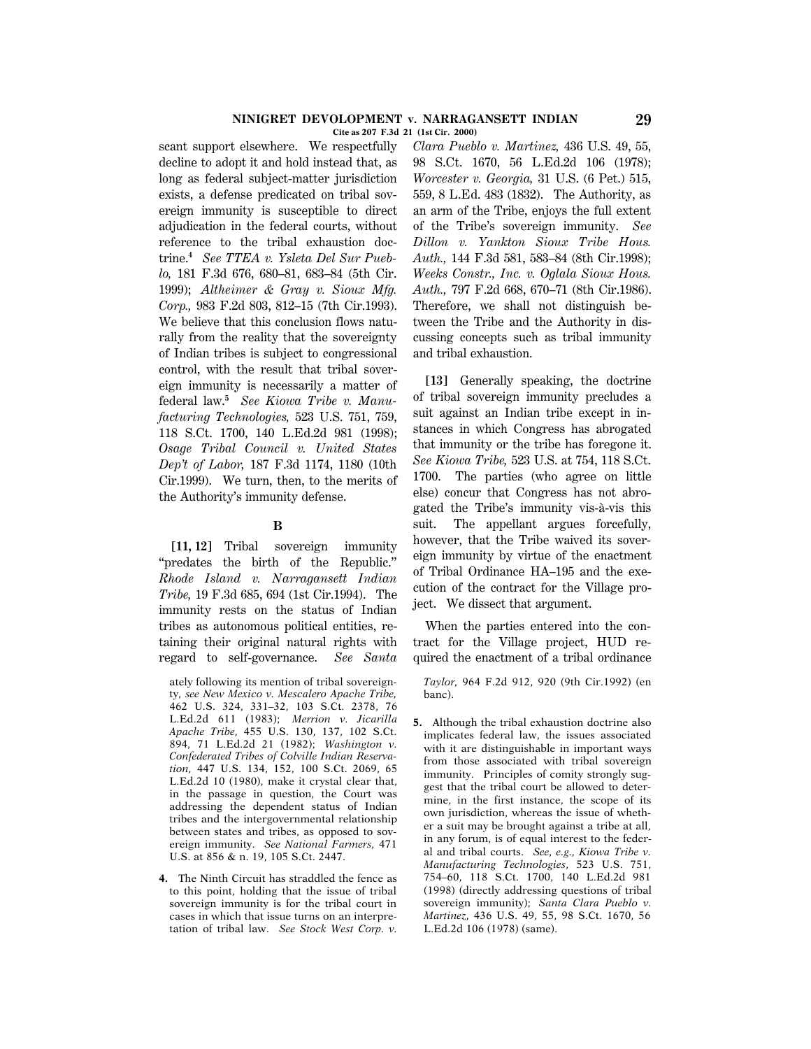#### **NINIGRET DEVOLOPMENT v. NARRAGANSETT INDIAN 29 Cite as 207 F.3d 21 (1st Cir. 2000)**

scant support elsewhere. We respectfully decline to adopt it and hold instead that, as long as federal subject-matter jurisdiction exists, a defense predicated on tribal sovereign immunity is susceptible to direct adjudication in the federal courts, without reference to the tribal exhaustion doctrine.**<sup>4</sup>** *See TTEA v. Ysleta Del Sur Pueblo,* 181 F.3d 676, 680–81, 683–84 (5th Cir. 1999); *Altheimer & Gray v. Sioux Mfg. Corp.,* 983 F.2d 803, 812–15 (7th Cir.1993). We believe that this conclusion flows naturally from the reality that the sovereignty of Indian tribes is subject to congressional control, with the result that tribal sovereign immunity is necessarily a matter of federal law.**<sup>5</sup>** *See Kiowa Tribe v. Manufacturing Technologies,* 523 U.S. 751, 759, 118 S.Ct. 1700, 140 L.Ed.2d 981 (1998); *Osage Tribal Council v. United States Dep't of Labor,* 187 F.3d 1174, 1180 (10th Cir.1999). We turn, then, to the merits of the Authority's immunity defense.

#### **B**

**[11, 12]** Tribal sovereign immunity ''predates the birth of the Republic.'' *Rhode Island v. Narragansett Indian Tribe,* 19 F.3d 685, 694 (1st Cir.1994). The immunity rests on the status of Indian tribes as autonomous political entities, retaining their original natural rights with regard to self-governance. *See Santa*

ately following its mention of tribal sovereignty, *see New Mexico v. Mescalero Apache Tribe,* 462 U.S. 324, 331–32, 103 S.Ct. 2378, 76 L.Ed.2d 611 (1983); *Merrion v. Jicarilla Apache Tribe,* 455 U.S. 130, 137, 102 S.Ct. 894, 71 L.Ed.2d 21 (1982); *Washington v. Confederated Tribes of Colville Indian Reservation,* 447 U.S. 134, 152, 100 S.Ct. 2069, 65 L.Ed.2d 10 (1980), make it crystal clear that, in the passage in question, the Court was addressing the dependent status of Indian tribes and the intergovernmental relationship between states and tribes, as opposed to sovereign immunity. *See National Farmers,* 471 U.S. at 856 & n. 19, 105 S.Ct. 2447.

**4.** The Ninth Circuit has straddled the fence as to this point, holding that the issue of tribal sovereign immunity is for the tribal court in cases in which that issue turns on an interpretation of tribal law. *See Stock West Corp. v.*

*Clara Pueblo v. Martinez,* 436 U.S. 49, 55, 98 S.Ct. 1670, 56 L.Ed.2d 106 (1978); *Worcester v. Georgia,* 31 U.S. (6 Pet.) 515, 559, 8 L.Ed. 483 (1832). The Authority, as an arm of the Tribe, enjoys the full extent of the Tribe's sovereign immunity. *See Dillon v. Yankton Sioux Tribe Hous. Auth.,* 144 F.3d 581, 583–84 (8th Cir.1998); *Weeks Constr., Inc. v. Oglala Sioux Hous. Auth.,* 797 F.2d 668, 670–71 (8th Cir.1986). Therefore, we shall not distinguish between the Tribe and the Authority in discussing concepts such as tribal immunity and tribal exhaustion.

**[13]** Generally speaking, the doctrine of tribal sovereign immunity precludes a suit against an Indian tribe except in instances in which Congress has abrogated that immunity or the tribe has foregone it. *See Kiowa Tribe,* 523 U.S. at 754, 118 S.Ct. 1700. The parties (who agree on little else) concur that Congress has not abrogated the Tribe's immunity vis-à-vis this suit. The appellant argues forcefully, however, that the Tribe waived its sovereign immunity by virtue of the enactment of Tribal Ordinance HA–195 and the execution of the contract for the Village project. We dissect that argument.

When the parties entered into the contract for the Village project, HUD required the enactment of a tribal ordinance

*Taylor,* 964 F.2d 912, 920 (9th Cir.1992) (en banc).

**5.** Although the tribal exhaustion doctrine also implicates federal law, the issues associated with it are distinguishable in important ways from those associated with tribal sovereign immunity. Principles of comity strongly suggest that the tribal court be allowed to determine, in the first instance, the scope of its own jurisdiction, whereas the issue of whether a suit may be brought against a tribe at all, in any forum, is of equal interest to the federal and tribal courts. *See, e.g., Kiowa Tribe v. Manufacturing Technologies,* 523 U.S. 751, 754–60, 118 S.Ct. 1700, 140 L.Ed.2d 981 (1998) (directly addressing questions of tribal sovereign immunity); *Santa Clara Pueblo v. Martinez,* 436 U.S. 49, 55, 98 S.Ct. 1670, 56 L.Ed.2d 106 (1978) (same).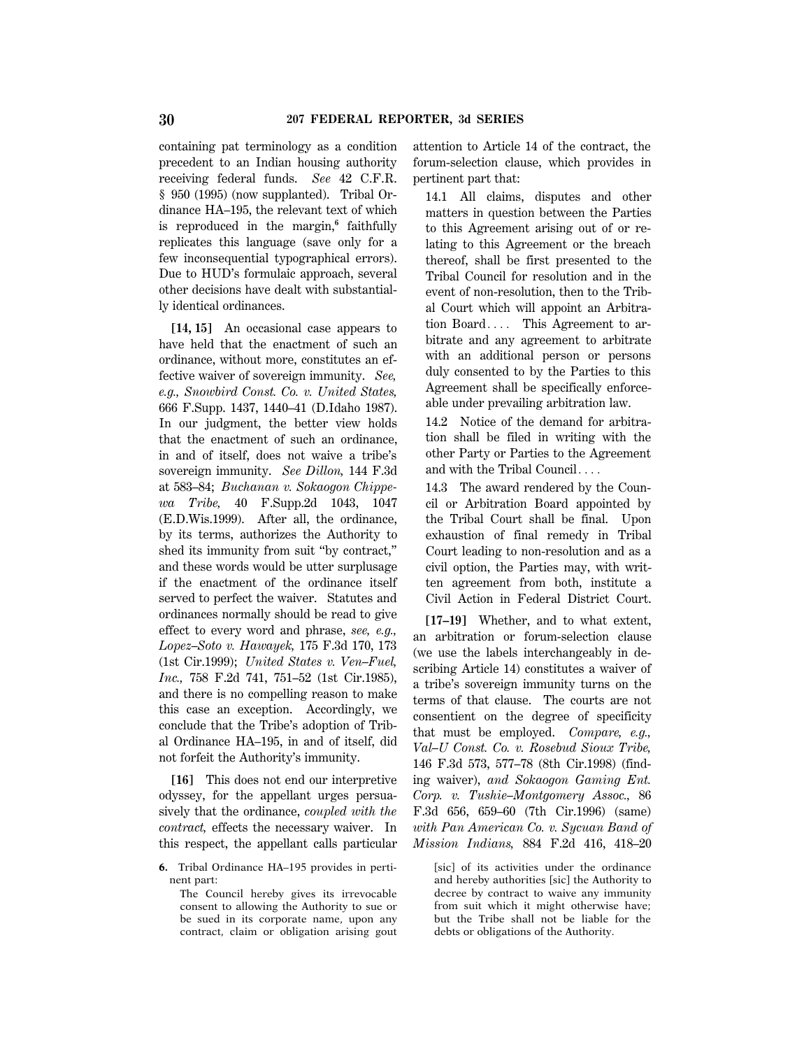containing pat terminology as a condition precedent to an Indian housing authority receiving federal funds. *See* 42 C.F.R. § 950 (1995) (now supplanted). Tribal Ordinance HA–195, the relevant text of which is reproduced in the margin,**<sup>6</sup>** faithfully replicates this language (save only for a few inconsequential typographical errors). Due to HUD's formulaic approach, several other decisions have dealt with substantially identical ordinances.

**[14, 15]** An occasional case appears to have held that the enactment of such an ordinance, without more, constitutes an effective waiver of sovereign immunity. *See, e.g., Snowbird Const. Co. v. United States,* 666 F.Supp. 1437, 1440–41 (D.Idaho 1987). In our judgment, the better view holds that the enactment of such an ordinance, in and of itself, does not waive a tribe's sovereign immunity. *See Dillon,* 144 F.3d at 583–84; *Buchanan v. Sokaogon Chippewa Tribe,* 40 F.Supp.2d 1043, 1047 (E.D.Wis.1999). After all, the ordinance, by its terms, authorizes the Authority to shed its immunity from suit ''by contract,'' and these words would be utter surplusage if the enactment of the ordinance itself served to perfect the waiver. Statutes and ordinances normally should be read to give effect to every word and phrase, *see, e.g., Lopez–Soto v. Hawayek,* 175 F.3d 170, 173 (1st Cir.1999); *United States v. Ven–Fuel, Inc.,* 758 F.2d 741, 751–52 (1st Cir.1985), and there is no compelling reason to make this case an exception. Accordingly, we conclude that the Tribe's adoption of Tribal Ordinance HA–195, in and of itself, did not forfeit the Authority's immunity.

**[16]** This does not end our interpretive odyssey, for the appellant urges persuasively that the ordinance, *coupled with the contract,* effects the necessary waiver. In this respect, the appellant calls particular

The Council hereby gives its irrevocable consent to allowing the Authority to sue or be sued in its corporate name, upon any contract, claim or obligation arising gout attention to Article 14 of the contract, the forum-selection clause, which provides in pertinent part that:

14.1 All claims, disputes and other matters in question between the Parties to this Agreement arising out of or relating to this Agreement or the breach thereof, shall be first presented to the Tribal Council for resolution and in the event of non-resolution, then to the Tribal Court which will appoint an Arbitration Board $\ldots$  This Agreement to arbitrate and any agreement to arbitrate with an additional person or persons duly consented to by the Parties to this Agreement shall be specifically enforceable under prevailing arbitration law.

14.2 Notice of the demand for arbitration shall be filed in writing with the other Party or Parties to the Agreement and with the Tribal Council $\ldots$ 

14.3 The award rendered by the Council or Arbitration Board appointed by the Tribal Court shall be final. Upon exhaustion of final remedy in Tribal Court leading to non-resolution and as a civil option, the Parties may, with written agreement from both, institute a Civil Action in Federal District Court.

**[17–19]** Whether, and to what extent, an arbitration or forum-selection clause (we use the labels interchangeably in describing Article 14) constitutes a waiver of a tribe's sovereign immunity turns on the terms of that clause. The courts are not consentient on the degree of specificity that must be employed. *Compare, e.g., Val–U Const. Co. v. Rosebud Sioux Tribe,* 146 F.3d 573, 577–78 (8th Cir.1998) (finding waiver), *and Sokaogon Gaming Ent. Corp. v. Tushie–Montgomery Assoc.,* 86 F.3d 656, 659–60 (7th Cir.1996) (same) *with Pan American Co. v. Sycuan Band of Mission Indians,* 884 F.2d 416, 418–20

[sic] of its activities under the ordinance and hereby authorities [sic] the Authority to decree by contract to waive any immunity from suit which it might otherwise have; but the Tribe shall not be liable for the debts or obligations of the Authority.

**<sup>6.</sup>** Tribal Ordinance HA–195 provides in pertinent part: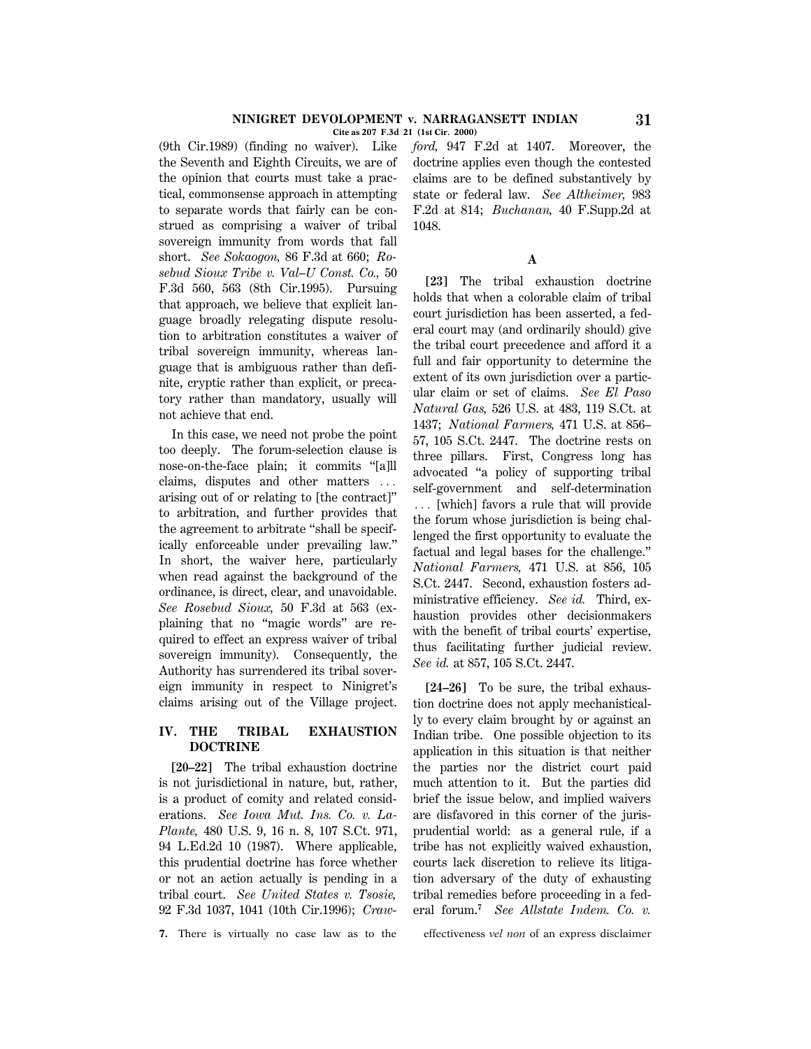**Cite as 207 F.3d 21 (1st Cir. 2000)**

(9th Cir.1989) (finding no waiver). Like the Seventh and Eighth Circuits, we are of the opinion that courts must take a practical, commonsense approach in attempting to separate words that fairly can be construed as comprising a waiver of tribal sovereign immunity from words that fall short. *See Sokaogon,* 86 F.3d at 660; *Rosebud Sioux Tribe v. Val–U Const. Co.,* 50 F.3d 560, 563 (8th Cir.1995). Pursuing that approach, we believe that explicit language broadly relegating dispute resolution to arbitration constitutes a waiver of tribal sovereign immunity, whereas language that is ambiguous rather than definite, cryptic rather than explicit, or precatory rather than mandatory, usually will not achieve that end.

In this case, we need not probe the point too deeply. The forum-selection clause is nose-on-the-face plain; it commits ''[a]ll claims, disputes and other matters  $\ldots$ arising out of or relating to [the contract]'' to arbitration, and further provides that the agreement to arbitrate ''shall be specifically enforceable under prevailing law.'' In short, the waiver here, particularly when read against the background of the ordinance, is direct, clear, and unavoidable. *See Rosebud Sioux,* 50 F.3d at 563 (explaining that no ''magic words'' are required to effect an express waiver of tribal sovereign immunity). Consequently, the Authority has surrendered its tribal sovereign immunity in respect to Ninigret's claims arising out of the Village project.

# **IV. THE TRIBAL EXHAUSTION DOCTRINE**

**[20–22]** The tribal exhaustion doctrine is not jurisdictional in nature, but, rather, is a product of comity and related considerations. *See Iowa Mut. Ins. Co. v. La-Plante,* 480 U.S. 9, 16 n. 8, 107 S.Ct. 971, 94 L.Ed.2d 10 (1987). Where applicable, this prudential doctrine has force whether or not an action actually is pending in a tribal court. *See United States v. Tsosie,* 92 F.3d 1037, 1041 (10th Cir.1996); *Craw*-

**7.** There is virtually no case law as to the effectiveness *vel non* of an express disclaimer

*ford,* 947 F.2d at 1407. Moreover, the doctrine applies even though the contested claims are to be defined substantively by state or federal law. *See Altheimer,* 983 F.2d at 814; *Buchanan,* 40 F.Supp.2d at 1048.

#### **A**

**[23]** The tribal exhaustion doctrine holds that when a colorable claim of tribal court jurisdiction has been asserted, a federal court may (and ordinarily should) give the tribal court precedence and afford it a full and fair opportunity to determine the extent of its own jurisdiction over a particular claim or set of claims. *See El Paso Natural Gas,* 526 U.S. at 483, 119 S.Ct. at 1437; *National Farmers,* 471 U.S. at 856– 57, 105 S.Ct. 2447. The doctrine rests on three pillars. First, Congress long has advocated ''a policy of supporting tribal self-government and self-determination ... [which] favors a rule that will provide the forum whose jurisdiction is being challenged the first opportunity to evaluate the factual and legal bases for the challenge.'' *National Farmers,* 471 U.S. at 856, 105 S.Ct. 2447. Second, exhaustion fosters administrative efficiency. *See id.* Third, exhaustion provides other decisionmakers with the benefit of tribal courts' expertise, thus facilitating further judicial review. *See id.* at 857, 105 S.Ct. 2447.

**[24–26]** To be sure, the tribal exhaustion doctrine does not apply mechanistically to every claim brought by or against an Indian tribe. One possible objection to its application in this situation is that neither the parties nor the district court paid much attention to it. But the parties did brief the issue below, and implied waivers are disfavored in this corner of the jurisprudential world: as a general rule, if a tribe has not explicitly waived exhaustion, courts lack discretion to relieve its litigation adversary of the duty of exhausting tribal remedies before proceeding in a federal forum.**<sup>7</sup>** *See Allstate Indem. Co. v.*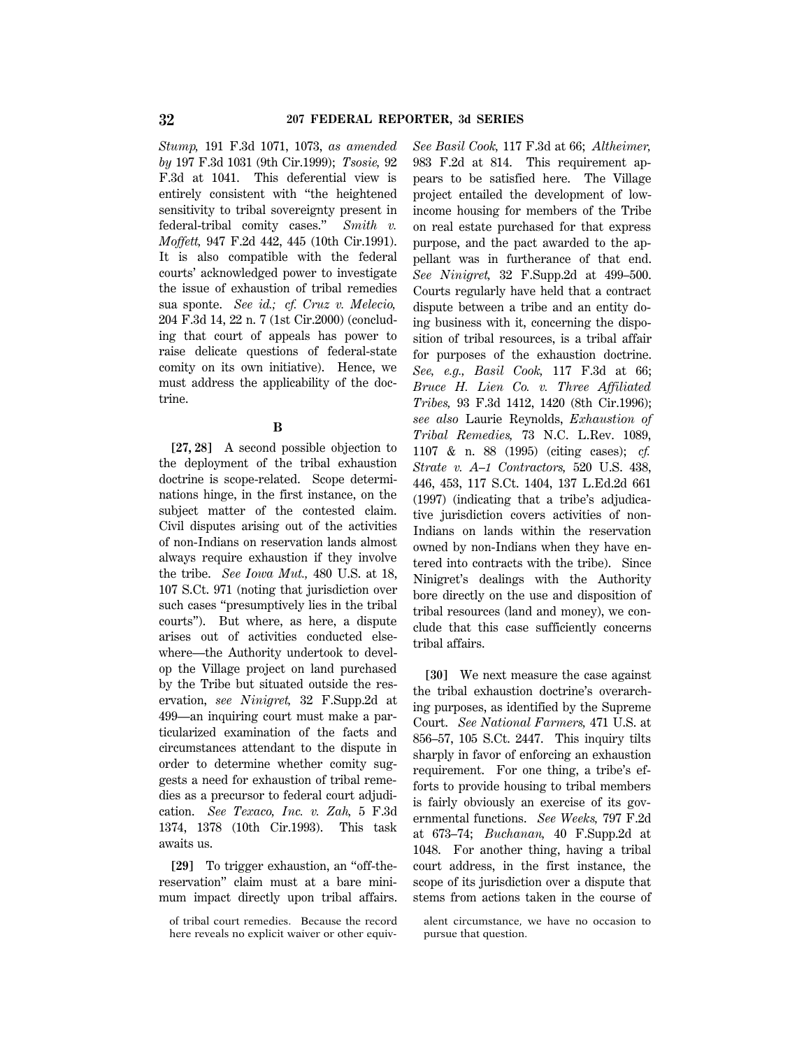*Stump,* 191 F.3d 1071, 1073, *as amended by* 197 F.3d 1031 (9th Cir.1999); *Tsosie,* 92 F.3d at 1041. This deferential view is entirely consistent with ''the heightened sensitivity to tribal sovereignty present in federal-tribal comity cases.'' *Smith v. Moffett,* 947 F.2d 442, 445 (10th Cir.1991). It is also compatible with the federal courts' acknowledged power to investigate the issue of exhaustion of tribal remedies sua sponte. *See id.; cf. Cruz v. Melecio,* 204 F.3d 14, 22 n. 7 (1st Cir.2000) (concluding that court of appeals has power to raise delicate questions of federal-state comity on its own initiative). Hence, we must address the applicability of the doctrine.

## **B**

**[27, 28]** A second possible objection to the deployment of the tribal exhaustion doctrine is scope-related. Scope determinations hinge, in the first instance, on the subject matter of the contested claim. Civil disputes arising out of the activities of non-Indians on reservation lands almost always require exhaustion if they involve the tribe. *See Iowa Mut.,* 480 U.S. at 18, 107 S.Ct. 971 (noting that jurisdiction over such cases ''presumptively lies in the tribal courts''). But where, as here, a dispute arises out of activities conducted elsewhere—the Authority undertook to develop the Village project on land purchased by the Tribe but situated outside the reservation, *see Ninigret,* 32 F.Supp.2d at 499—an inquiring court must make a particularized examination of the facts and circumstances attendant to the dispute in order to determine whether comity suggests a need for exhaustion of tribal remedies as a precursor to federal court adjudication. *See Texaco, Inc. v. Zah,* 5 F.3d 1374, 1378 (10th Cir.1993). This task awaits us.

**[29]** To trigger exhaustion, an ''off-thereservation'' claim must at a bare minimum impact directly upon tribal affairs.

*See Basil Cook,* 117 F.3d at 66; *Altheimer,* 983 F.2d at 814. This requirement appears to be satisfied here. The Village project entailed the development of lowincome housing for members of the Tribe on real estate purchased for that express purpose, and the pact awarded to the appellant was in furtherance of that end. *See Ninigret,* 32 F.Supp.2d at 499–500. Courts regularly have held that a contract dispute between a tribe and an entity doing business with it, concerning the disposition of tribal resources, is a tribal affair for purposes of the exhaustion doctrine. *See, e.g., Basil Cook,* 117 F.3d at 66; *Bruce H. Lien Co. v. Three Affiliated Tribes,* 93 F.3d 1412, 1420 (8th Cir.1996); *see also* Laurie Reynolds, *Exhaustion of Tribal Remedies,* 73 N.C. L.Rev. 1089, 1107 & n. 88 (1995) (citing cases); *cf. Strate v. A–1 Contractors,* 520 U.S. 438, 446, 453, 117 S.Ct. 1404, 137 L.Ed.2d 661 (1997) (indicating that a tribe's adjudicative jurisdiction covers activities of non-Indians on lands within the reservation owned by non-Indians when they have entered into contracts with the tribe). Since Ninigret's dealings with the Authority bore directly on the use and disposition of tribal resources (land and money), we conclude that this case sufficiently concerns tribal affairs.

**[30]** We next measure the case against the tribal exhaustion doctrine's overarching purposes, as identified by the Supreme Court. *See National Farmers,* 471 U.S. at 856–57, 105 S.Ct. 2447. This inquiry tilts sharply in favor of enforcing an exhaustion requirement. For one thing, a tribe's efforts to provide housing to tribal members is fairly obviously an exercise of its governmental functions. *See Weeks,* 797 F.2d at 673–74; *Buchanan,* 40 F.Supp.2d at 1048. For another thing, having a tribal court address, in the first instance, the scope of its jurisdiction over a dispute that stems from actions taken in the course of

of tribal court remedies. Because the record here reveals no explicit waiver or other equiv-

alent circumstance, we have no occasion to pursue that question.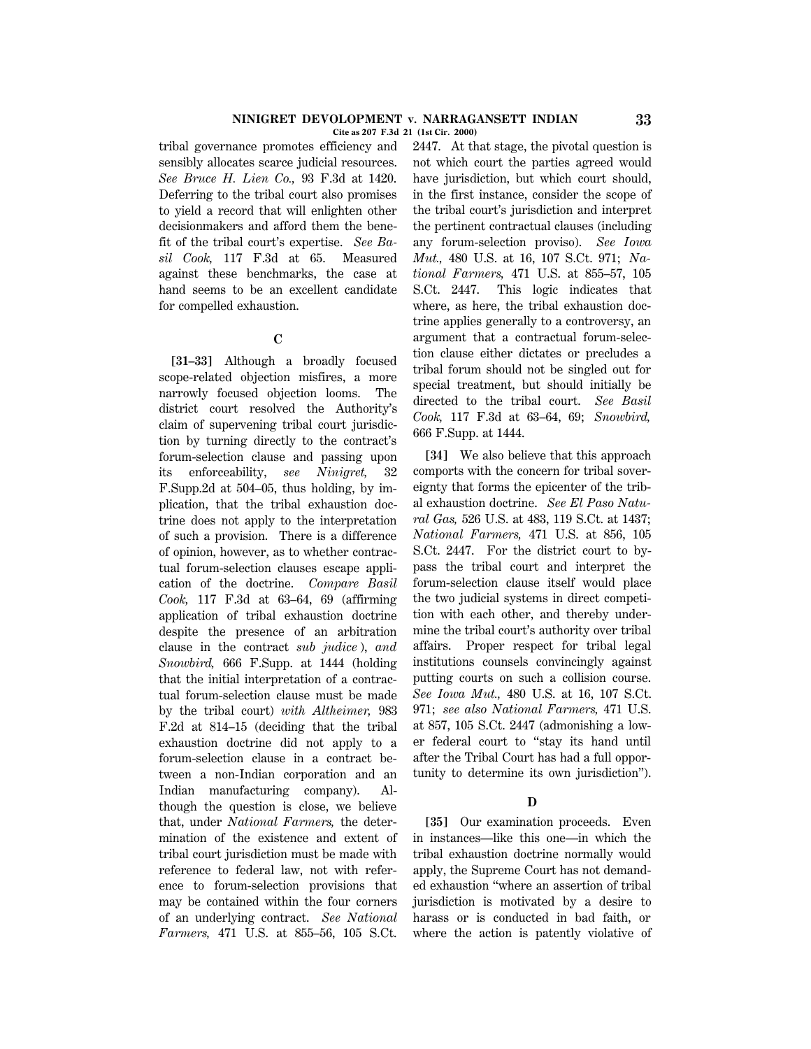tribal governance promotes efficiency and sensibly allocates scarce judicial resources. *See Bruce H. Lien Co.,* 93 F.3d at 1420. Deferring to the tribal court also promises to yield a record that will enlighten other decisionmakers and afford them the benefit of the tribal court's expertise. *See Basil Cook,* 117 F.3d at 65. Measured against these benchmarks, the case at hand seems to be an excellent candidate for compelled exhaustion.

#### **C**

**[31–33]** Although a broadly focused scope-related objection misfires, a more narrowly focused objection looms. The district court resolved the Authority's claim of supervening tribal court jurisdiction by turning directly to the contract's forum-selection clause and passing upon its enforceability, *see Ninigret,* 32 F.Supp.2d at 504–05, thus holding, by implication, that the tribal exhaustion doctrine does not apply to the interpretation of such a provision. There is a difference of opinion, however, as to whether contractual forum-selection clauses escape application of the doctrine. *Compare Basil Cook,* 117 F.3d at 63–64, 69 (affirming application of tribal exhaustion doctrine despite the presence of an arbitration clause in the contract *sub judice* ), *and Snowbird,* 666 F.Supp. at 1444 (holding that the initial interpretation of a contractual forum-selection clause must be made by the tribal court) *with Altheimer,* 983 F.2d at 814–15 (deciding that the tribal exhaustion doctrine did not apply to a forum-selection clause in a contract between a non-Indian corporation and an Indian manufacturing company). Although the question is close, we believe that, under *National Farmers,* the determination of the existence and extent of tribal court jurisdiction must be made with reference to federal law, not with reference to forum-selection provisions that may be contained within the four corners of an underlying contract. *See National Farmers,* 471 U.S. at 855–56, 105 S.Ct.

2447. At that stage, the pivotal question is not which court the parties agreed would have jurisdiction, but which court should, in the first instance, consider the scope of the tribal court's jurisdiction and interpret the pertinent contractual clauses (including any forum-selection proviso). *See Iowa Mut.,* 480 U.S. at 16, 107 S.Ct. 971; *National Farmers,* 471 U.S. at 855–57, 105 S.Ct. 2447. This logic indicates that where, as here, the tribal exhaustion doctrine applies generally to a controversy, an argument that a contractual forum-selection clause either dictates or precludes a tribal forum should not be singled out for special treatment, but should initially be directed to the tribal court. *See Basil Cook,* 117 F.3d at 63–64, 69; *Snowbird,* 666 F.Supp. at 1444.

**[34]** We also believe that this approach comports with the concern for tribal sovereignty that forms the epicenter of the tribal exhaustion doctrine. *See El Paso Natural Gas,* 526 U.S. at 483, 119 S.Ct. at 1437; *National Farmers,* 471 U.S. at 856, 105 S.Ct. 2447. For the district court to bypass the tribal court and interpret the forum-selection clause itself would place the two judicial systems in direct competition with each other, and thereby undermine the tribal court's authority over tribal affairs. Proper respect for tribal legal institutions counsels convincingly against putting courts on such a collision course. *See Iowa Mut.,* 480 U.S. at 16, 107 S.Ct. 971; *see also National Farmers,* 471 U.S. at 857, 105 S.Ct. 2447 (admonishing a lower federal court to ''stay its hand until after the Tribal Court has had a full opportunity to determine its own jurisdiction'').

## **D**

**[35]** Our examination proceeds. Even in instances—like this one—in which the tribal exhaustion doctrine normally would apply, the Supreme Court has not demanded exhaustion ''where an assertion of tribal jurisdiction is motivated by a desire to harass or is conducted in bad faith, or where the action is patently violative of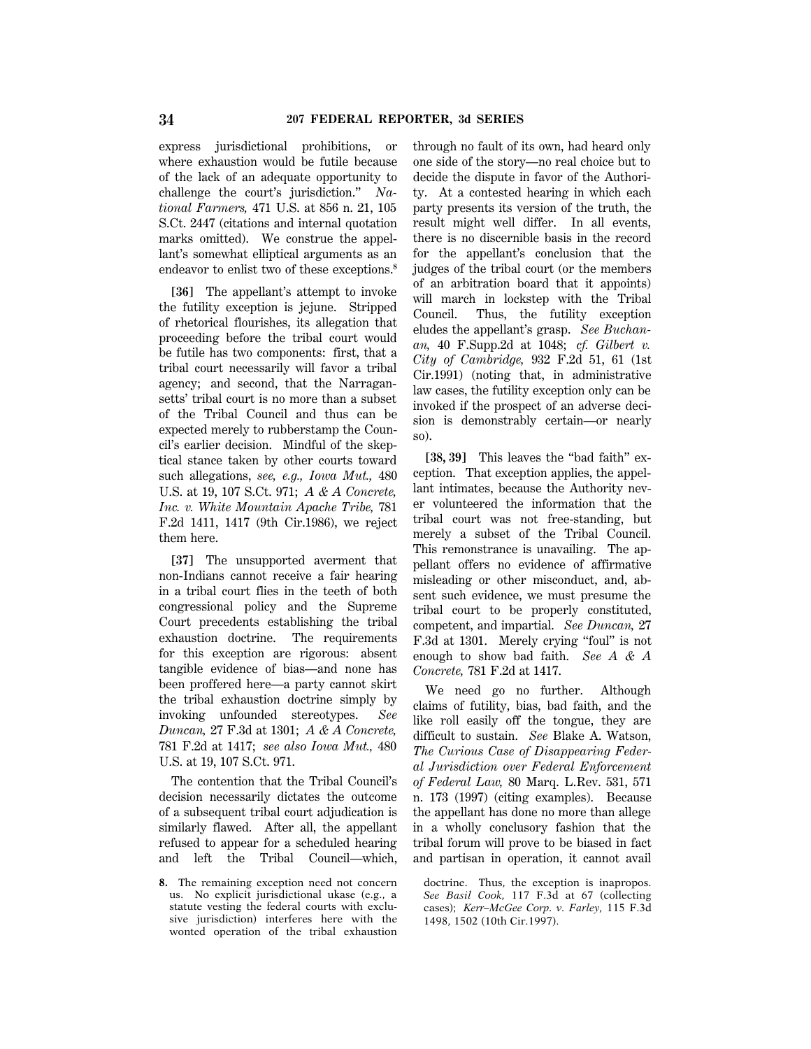express jurisdictional prohibitions, or where exhaustion would be futile because of the lack of an adequate opportunity to challenge the court's jurisdiction.'' *National Farmers,* 471 U.S. at 856 n. 21, 105 S.Ct. 2447 (citations and internal quotation marks omitted). We construe the appellant's somewhat elliptical arguments as an endeavor to enlist two of these exceptions.**<sup>8</sup>**

**[36]** The appellant's attempt to invoke the futility exception is jejune. Stripped of rhetorical flourishes, its allegation that proceeding before the tribal court would be futile has two components: first, that a tribal court necessarily will favor a tribal agency; and second, that the Narragansetts' tribal court is no more than a subset of the Tribal Council and thus can be expected merely to rubberstamp the Council's earlier decision. Mindful of the skeptical stance taken by other courts toward such allegations, *see, e.g., Iowa Mut.,* 480 U.S. at 19, 107 S.Ct. 971; *A & A Concrete, Inc. v. White Mountain Apache Tribe,* 781 F.2d 1411, 1417 (9th Cir.1986), we reject them here.

**[37]** The unsupported averment that non-Indians cannot receive a fair hearing in a tribal court flies in the teeth of both congressional policy and the Supreme Court precedents establishing the tribal exhaustion doctrine. The requirements for this exception are rigorous: absent tangible evidence of bias—and none has been proffered here—a party cannot skirt the tribal exhaustion doctrine simply by invoking unfounded stereotypes. *See Duncan,* 27 F.3d at 1301; *A & A Concrete,* 781 F.2d at 1417; *see also Iowa Mut.,* 480 U.S. at 19, 107 S.Ct. 971.

The contention that the Tribal Council's decision necessarily dictates the outcome of a subsequent tribal court adjudication is similarly flawed. After all, the appellant refused to appear for a scheduled hearing and left the Tribal Council—which,

**8.** The remaining exception need not concern us. No explicit jurisdictional ukase (e.g., a statute vesting the federal courts with exclusive jurisdiction) interferes here with the wonted operation of the tribal exhaustion

through no fault of its own, had heard only one side of the story—no real choice but to decide the dispute in favor of the Authority. At a contested hearing in which each party presents its version of the truth, the result might well differ. In all events, there is no discernible basis in the record for the appellant's conclusion that the judges of the tribal court (or the members of an arbitration board that it appoints) will march in lockstep with the Tribal Council. Thus, the futility exception eludes the appellant's grasp. *See Buchanan,* 40 F.Supp.2d at 1048; *cf. Gilbert v. City of Cambridge,* 932 F.2d 51, 61 (1st Cir.1991) (noting that, in administrative law cases, the futility exception only can be invoked if the prospect of an adverse decision is demonstrably certain—or nearly so).

**[38, 39]** This leaves the ''bad faith'' exception. That exception applies, the appellant intimates, because the Authority never volunteered the information that the tribal court was not free-standing, but merely a subset of the Tribal Council. This remonstrance is unavailing. The appellant offers no evidence of affirmative misleading or other misconduct, and, absent such evidence, we must presume the tribal court to be properly constituted, competent, and impartial. *See Duncan,* 27 F.3d at 1301. Merely crying "foul" is not enough to show bad faith. *See A & A Concrete,* 781 F.2d at 1417.

We need go no further. Although claims of futility, bias, bad faith, and the like roll easily off the tongue, they are difficult to sustain. *See* Blake A. Watson, *The Curious Case of Disappearing Federal Jurisdiction over Federal Enforcement of Federal Law,* 80 Marq. L.Rev. 531, 571 n. 173 (1997) (citing examples). Because the appellant has done no more than allege in a wholly conclusory fashion that the tribal forum will prove to be biased in fact and partisan in operation, it cannot avail

doctrine. Thus, the exception is inapropos. *See Basil Cook,* 117 F.3d at 67 (collecting cases); *Kerr–McGee Corp. v. Farley,* 115 F.3d 1498, 1502 (10th Cir.1997).